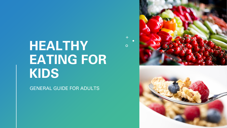# **HEALTHY EATING FOR KIDS**

GENERAL GUIDE FOR ADULTS



 $\overline{O}$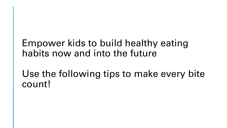#### Empower kids to build healthy eating habits now and into the future

Use the following tips to make every bite count!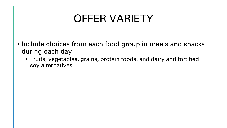#### OFFER VARIETY

- Include choices from each food group in meals and snacks during each day
	- Fruits, vegetables, grains, protein foods, and dairy and fortified soy alternatives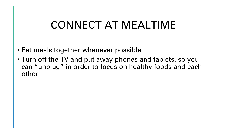# CONNECT AT MEALTIME

- Eat meals together whenever possible
- Turn off the TV and put away phones and tablets, so you can "unplug" in order to focus on healthy foods and each other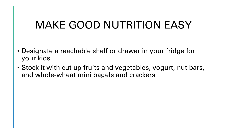# MAKE GOOD NUTRITION EASY

- Designate a reachable shelf or drawer in your fridge for your kids
- Stock it with cut up fruits and vegetables, yogurt, nut bars, and whole-wheat mini bagels and crackers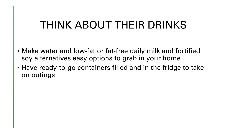# THINK ABOUT THEIR DRINKS

- Make water and low-fat or fat-free daily milk and fortified soy alternatives easy options to grab in your home
- Have ready-to-go containers filled and in the fridge to take on outings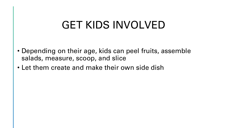# GET KIDS INVOLVED

- Depending on their age, kids can peel fruits, assemble salads, measure, scoop, and slice
- Let them create and make their own side dish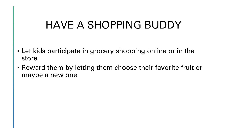# HAVE A SHOPPING BUDDY

- Let kids participate in grocery shopping online or in the store
- Reward them by letting them choose their favorite fruit or maybe a new one